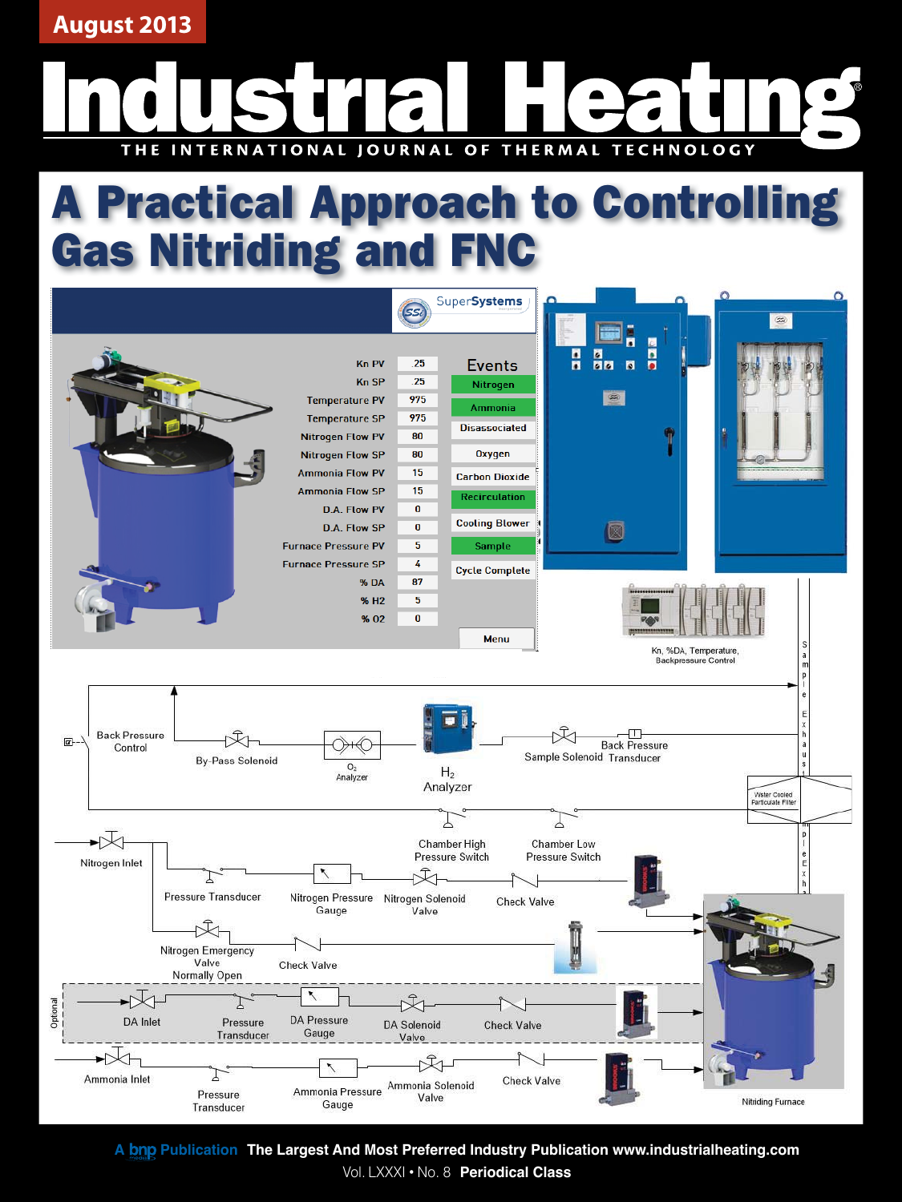**August 2013**

### INTERNATIONAL JOURNAL OF THERMAL **TECHNOLOGY** THE

# A Practical Approach to Controlling Gas Nitriding and FNC



A bnp Publication The Largest And Most Preferred Industry Publication www.industrialheating.com Vol. LXXXI • No. 8 **Periodical Class**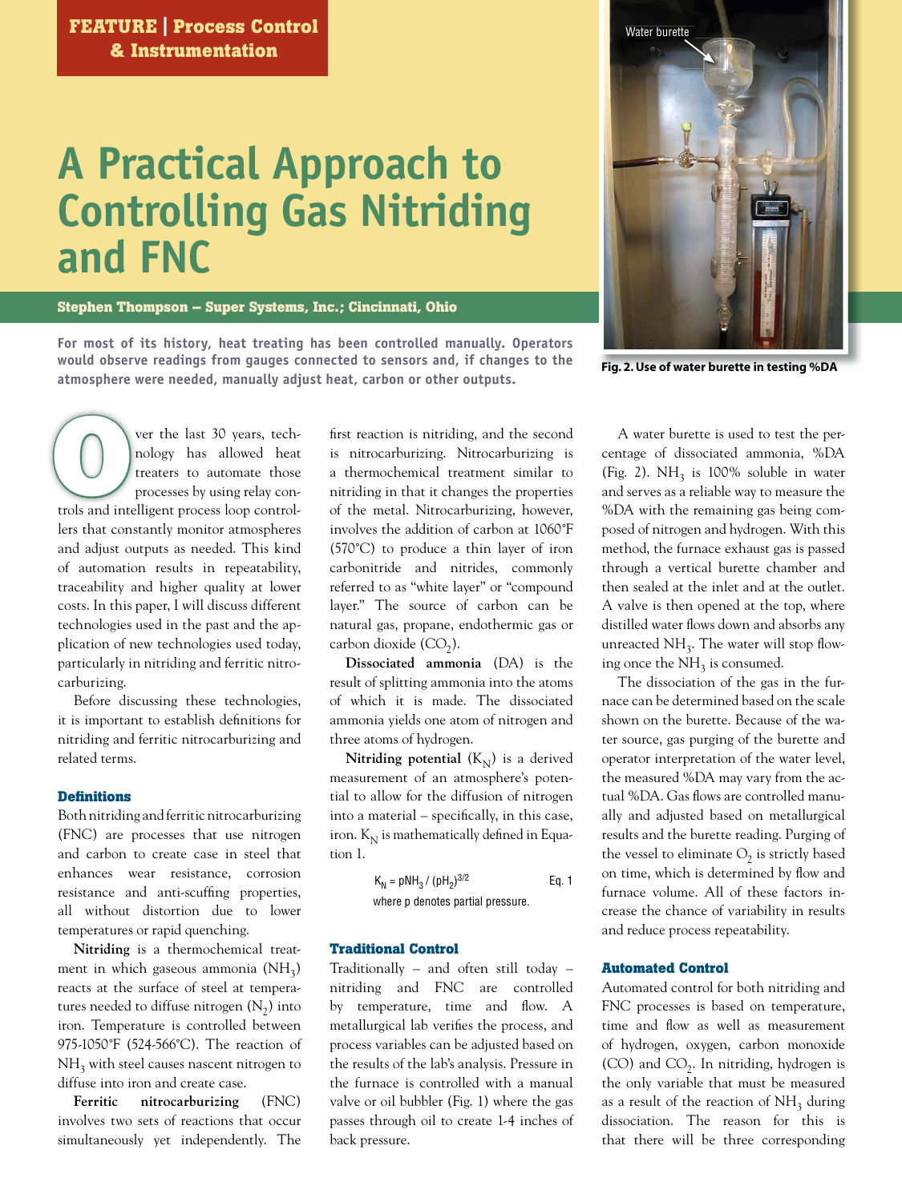## **A Practical Approach to Controlling Gas Nitriding and FNC**

**Stephen Thompson – Super Systems, Inc.; Cincinnati, Ohio**

**For most of its history, heat treating has been controlled manually. Operators would observe readings from gauges connected to sensors and, if changes to the atmosphere were needed, manually adjust heat, carbon or other outputs.** 



 **Fig. 2. Use of water burette in testing %DA**

ver the last 30 years, tech-v nology has allowed heat n treaters to automate those processes by using relay conver the last 30 years, tech-<br>
nology has allowed heat<br>
treaters to automate those<br>
processes by using relay con-<br>
trols and intelligent process loop controllers that constantly monitor atmospheres and adjust outputs as needed. This kind of automation results in repeatability, traceability and higher quality at lower costs. In this paper, I will discuss different technologies used in the past and the application of new technologies used today, particularly in nitriding and ferritic nitrocarburizing.

 Before discussing these technologies, it is important to establish definitions for nitriding and ferritic nitrocarburizing and related terms.

#### **Defi nitions**

Both nitriding and ferritic nitrocarburizing (FNC) are processes that use nitrogen and carbon to create case in steel that enhances wear resistance, corrosion resistance and anti-scuffing properties, all without distortion due to lower temperatures or rapid quenching.

**Nitriding** is a thermochemical treatment in which gaseous ammonia  $(NH_3)$ reacts at the surface of steel at temperatures needed to diffuse nitrogen  $(N_2)$  into iron. Temperature is controlled between 975-1050˚F (524-566˚C). The reaction of  $NH<sub>3</sub>$  with steel causes nascent nitrogen to diffuse into iron and create case.

**Ferritic nitrocarburizing** (FNC) involves two sets of reactions that occur simultaneously yet independently. The

first reaction is nitriding, and the second is nitrocarburizing. Nitrocarburizing is a thermochemical treatment similar to nitriding in that it changes the properties of the metal. Nitrocarburizing, however, involves the addition of carbon at 1060˚F (570˚C) to produce a thin layer of iron carbonitride and nitrides, commonly referred to as "white layer" or "compound layer." The source of carbon can be natural gas, propane, endothermic gas or carbon dioxide  $(CO<sub>2</sub>)$ .

**Dissociated ammonia** (DA) is the result of splitting ammonia into the atoms of which it is made. The dissociated ammonia yields one atom of nitrogen and three atoms of hydrogen.

**Nitriding potential**  $(K_N)$  is a derived measurement of an atmosphere's potential to allow for the diffusion of nitrogen into a material – specifically, in this case, iron.  $K_N$  is mathematically defined in Equation 1.

$$
K_N = pNH_3 / (pH_2)^{3/2}
$$
 Eq. 1  
where p denotes partial pressure.

#### **Traditional Control**

Traditionally – and often still today – nitriding and FNC are controlled by temperature, time and flow. A metallurgical lab verifies the process, and process variables can be adjusted based on the results of the lab's analysis. Pressure in the furnace is controlled with a manual valve or oil bubbler (Fig. 1) where the gas passes through oil to create 1-4 inches of back pressure.

 A water burette is used to test the percentage of dissociated ammonia, %DA (Fig. 2).  $NH<sub>3</sub>$  is 100% soluble in water and serves as a reliable way to measure the %DA with the remaining gas being composed of nitrogen and hydrogen. With this method, the furnace exhaust gas is passed through a vertical burette chamber and then sealed at the inlet and at the outlet. A valve is then opened at the top, where distilled water flows down and absorbs any unreacted  $NH<sub>3</sub>$ . The water will stop flowing once the  $NH<sub>3</sub>$  is consumed.

 The dissociation of the gas in the furnace can be determined based on the scale shown on the burette. Because of the water source, gas purging of the burette and operator interpretation of the water level, the measured %DA may vary from the actual %DA. Gas flows are controlled manually and adjusted based on metallurgical results and the burette reading. Purging of the vessel to eliminate  $O_2$  is strictly based on time, which is determined by flow and furnace volume. All of these factors increase the chance of variability in results and reduce process repeatability.

#### **Automated Control**

Automated control for both nitriding and FNC processes is based on temperature, time and flow as well as measurement of hydrogen, oxygen, carbon monoxide  $(CO)$  and  $CO<sub>2</sub>$ . In nitriding, hydrogen is the only variable that must be measured as a result of the reaction of  $NH<sub>3</sub>$  during dissociation. The reason for this is that there will be three corresponding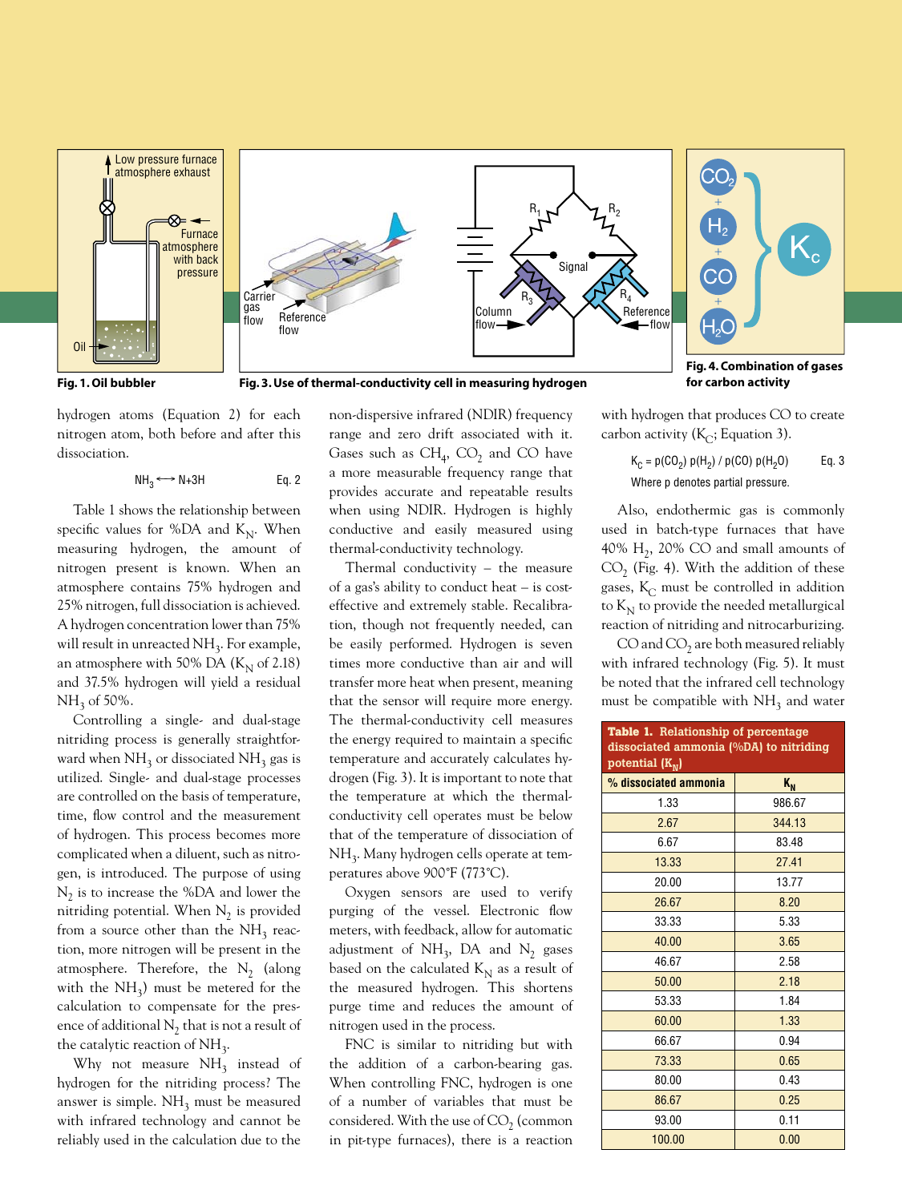

hydrogen atoms (Equation 2) for each nitrogen atom, both before and after this dissociation.

$$
NH_3 \longleftrightarrow N+3H \qquad \qquad Eq. 2
$$

 Table 1 shows the relationship between specific values for %DA and  $K_N$ . When measuring hydrogen, the amount of nitrogen present is known. When an atmosphere contains 75% hydrogen and 25% nitrogen, full dissociation is achieved. A hydrogen concentration lower than 75% will result in unreacted  $NH<sub>3</sub>$ . For example, an atmosphere with 50% DA  $(K_{N}$  of 2.18) and 37.5% hydrogen will yield a residual  $NH<sub>3</sub>$  of 50%.

 Controlling a single- and dual-stage nitriding process is generally straightforward when  $NH_3$  or dissociated  $NH_3$  gas is utilized. Single- and dual-stage processes are controlled on the basis of temperature, time, flow control and the measurement of hydrogen. This process becomes more complicated when a diluent, such as nitrogen, is introduced. The purpose of using  $N_2$  is to increase the %DA and lower the nitriding potential. When  $N_2$  is provided from a source other than the  $NH<sub>3</sub>$  reaction, more nitrogen will be present in the atmosphere. Therefore, the  $N_2$  (along with the  $NH<sub>3</sub>$ ) must be metered for the calculation to compensate for the presence of additional  $N_2$  that is not a result of the catalytic reaction of  $NH<sub>3</sub>$ .

Why not measure  $NH<sub>3</sub>$  instead of hydrogen for the nitriding process? The answer is simple.  $NH<sub>3</sub>$  must be measured with infrared technology and cannot be reliably used in the calculation due to the non-dispersive infrared (NDIR) frequency range and zero drift associated with it. Gases such as  $CH_4$ ,  $CO_2$  and CO have a more measurable frequency range that provides accurate and repeatable results when using NDIR. Hydrogen is highly conductive and easily measured using thermal-conductivity technology.

 Thermal conductivity – the measure of a gas's ability to conduct heat – is costeffective and extremely stable. Recalibration, though not frequently needed, can be easily performed. Hydrogen is seven times more conductive than air and will transfer more heat when present, meaning that the sensor will require more energy. The thermal-conductivity cell measures the energy required to maintain a specific temperature and accurately calculates hydrogen (Fig. 3). It is important to note that the temperature at which the thermalconductivity cell operates must be below that of the temperature of dissociation of NH<sub>3</sub>. Many hydrogen cells operate at temperatures above 900˚F (773˚C).

 Oxygen sensors are used to verify purging of the vessel. Electronic flow meters, with feedback, allow for automatic adjustment of  $NH_3$ , DA and  $N_2$  gases based on the calculated  $K_N$  as a result of the measured hydrogen. This shortens purge time and reduces the amount of nitrogen used in the process.

 FNC is similar to nitriding but with the addition of a carbon-bearing gas. When controlling FNC, hydrogen is one of a number of variables that must be considered. With the use of  $CO<sub>2</sub>$  (common in pit-type furnaces), there is a reaction with hydrogen that produces CO to create carbon activity ( $K_C$ ; Equation 3).

$$
K_C = p(CO_2) p(H_2) / p(CO) p(H_2O)
$$
 Eq. 3  
Where p denotes partial pressure.

 Also, endothermic gas is commonly used in batch-type furnaces that have 40%  $H_2$ , 20% CO and small amounts of  $CO<sub>2</sub>$  (Fig. 4). With the addition of these gases,  $K_C$  must be controlled in addition to  $K_N$  to provide the needed metallurgical reaction of nitriding and nitrocarburizing.

 $CO$  and  $CO<sub>2</sub>$  are both measured reliably with infrared technology (Fig. 5). It must be noted that the infrared cell technology must be compatible with  $NH<sub>3</sub>$  and water

| Table 1. Relationship of percentage<br>dissociated ammonia (%DA) to nitriding<br>potential $(K_N)$ |         |  |  |  |  |  |  |  |
|----------------------------------------------------------------------------------------------------|---------|--|--|--|--|--|--|--|
| % dissociated ammonia                                                                              | $K_{N}$ |  |  |  |  |  |  |  |
| 1.33                                                                                               | 986.67  |  |  |  |  |  |  |  |
| 2.67                                                                                               | 344.13  |  |  |  |  |  |  |  |
| 6.67                                                                                               | 83.48   |  |  |  |  |  |  |  |
| 13.33                                                                                              | 27.41   |  |  |  |  |  |  |  |
| 20.00                                                                                              | 13.77   |  |  |  |  |  |  |  |
| 26.67                                                                                              | 8.20    |  |  |  |  |  |  |  |
| 33.33                                                                                              | 5.33    |  |  |  |  |  |  |  |
| 40.00                                                                                              | 3.65    |  |  |  |  |  |  |  |
| 46.67                                                                                              | 2.58    |  |  |  |  |  |  |  |
| 50.00                                                                                              | 2.18    |  |  |  |  |  |  |  |
| 53.33                                                                                              | 1.84    |  |  |  |  |  |  |  |
| 60.00                                                                                              | 1.33    |  |  |  |  |  |  |  |
| 66.67                                                                                              | 0.94    |  |  |  |  |  |  |  |
| 73.33                                                                                              | 0.65    |  |  |  |  |  |  |  |
| 80.00                                                                                              | 0.43    |  |  |  |  |  |  |  |
| 86.67                                                                                              | 0.25    |  |  |  |  |  |  |  |
| 93.00                                                                                              | 0.11    |  |  |  |  |  |  |  |
| 100.00                                                                                             | 0.00    |  |  |  |  |  |  |  |